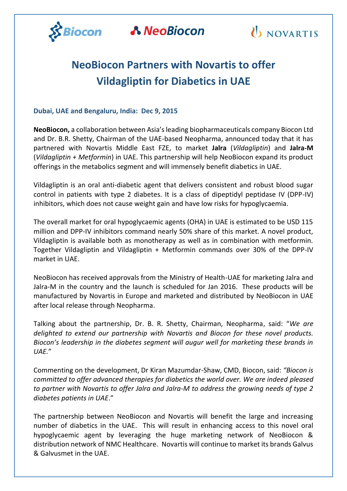

**A NeoBiocon** 



## **NeoBiocon Partners with Novartis to offer Vildagliptin for Diabetics in UAE**

#### **Dubai, UAE and Bengaluru, India: Dec 9, 2015**

**NeoBiocon,** a collaboration between Asia's leading biopharmaceuticals company Biocon Ltd and Dr. B.R. Shetty, Chairman of the UAE-based Neopharma, announced today that it has partnered with Novartis Middle East FZE, to market **Jalra** (*Vildagliptin*) and **Jalra-M** (*Vildagliptin + Metformin*) in UAE. This partnership will help NeoBiocon expand its product offerings in the metabolics segment and will immensely benefit diabetics in UAE.

Vildagliptin is an oral anti-diabetic agent that delivers consistent and robust blood sugar control in patients with type 2 diabetes. It is a class of dipeptidyl peptidase IV (DPP-IV) inhibitors, which does not cause weight gain and have low risks for hypoglycaemia.

The overall market for oral hypoglycaemic agents (OHA) in UAE is estimated to be USD 115 million and DPP-IV inhibitors command nearly 50% share of this market. A novel product, Vildagliptin is available both as monotherapy as well as in combination with metformin. Together Vildagliptin and Vildagliptin + Metformin commands over 30% of the DPP-IV market in UAE.

NeoBiocon has received approvals from the Ministry of Health-UAE for marketing Jalra and Jalra-M in the country and the launch is scheduled for Jan 2016. These products will be manufactured by Novartis in Europe and marketed and distributed by NeoBiocon in UAE after local release through Neopharma.

Talking about the partnership, Dr. B. R. Shetty, Chairman, Neopharma, said: "*We are delighted to extend our partnership with Novartis and Biocon for these novel products. Biocon's leadership in the diabetes segment will augur well for marketing these brands in UAE.*"

Commenting on the development, Dr Kiran Mazumdar-Shaw, CMD, Biocon, said: *"Biocon is committed to offer advanced therapies for diabetics the world over. We are indeed pleased to partner with Novartis to offer Jalra and Jalra-M to address the growing needs of type 2 diabetes patients in UAE*."

The partnership between NeoBiocon and Novartis will benefit the large and increasing number of diabetics in the UAE. This will result in enhancing access to this novel oral hypoglycaemic agent by leveraging the huge marketing network of NeoBiocon & distribution network of NMC Healthcare. Novartis will continue to market its brands Galvus & Galvusmet in the UAE.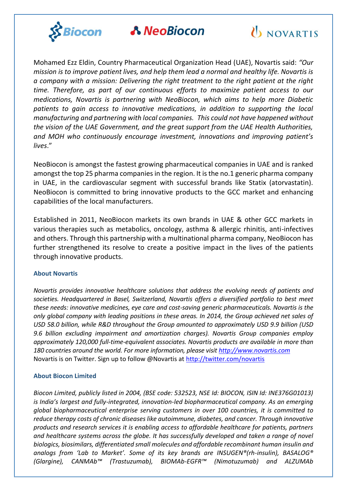

### **A NeoBiocon**



Mohamed Ezz Eldin, Country Pharmaceutical Organization Head (UAE), Novartis said: *"Our mission is to improve patient lives, and help them lead a normal and healthy life. Novartis is a company with a mission: Delivering the right treatment to the right patient at the right time. Therefore, as part of our continuous efforts to maximize patient access to our medications, Novartis is partnering with NeoBiocon, which aims to help more Diabetic patients to gain access to innovative medications, in addition to supporting the local manufacturing and partnering with local companies. This could not have happened without the vision of the UAE Government, and the great support from the UAE Health Authorities, and MOH who continuously encourage investment, innovations and improving patient's lives*."

NeoBiocon is amongst the fastest growing pharmaceutical companies in UAE and is ranked amongst the top 25 pharma companies in the region. It is the no.1 generic pharma company in UAE, in the cardiovascular segment with successful brands like Statix (atorvastatin). NeoBiocon is committed to bring innovative products to the GCC market and enhancing capabilities of the local manufacturers.

Established in 2011, NeoBiocon markets its own brands in UAE & other GCC markets in various therapies such as metabolics, oncology, asthma & allergic rhinitis, anti-infectives and others. Through this partnership with a multinational pharma company, NeoBiocon has further strengthened its resolve to create a positive impact in the lives of the patients through innovative products.

#### **About Novartis**

*Novartis provides innovative healthcare solutions that address the evolving needs of patients and societies. Headquartered in Basel, Switzerland, Novartis offers a diversified portfolio to best meet these needs: innovative medicines, eye care and cost-saving generic pharmaceuticals. Novartis is the only global company with leading positions in these areas. In 2014, the Group achieved net sales of USD 58.0 billion, while R&D throughout the Group amounted to approximately USD 9.9 billion (USD 9.6 billion excluding impairment and amortization charges). Novartis Group companies employ approximately 120,000 full-time-equivalent associates. Novartis products are available in more than 180 countries around the world. For more information, please visit [http://www.novartis.com](http://www.novartis.com/)* Novartis is on Twitter. Sign up to follow @Novartis at<http://twitter.com/novartis>

#### **About Biocon Limited**

*Biocon Limited, publicly listed in 2004, (BSE code: 532523, NSE Id: BIOCON, ISIN Id: INE376G01013) is India's largest and fully-integrated, innovation-led biopharmaceutical company. As an emerging global biopharmaceutical enterprise serving customers in over 100 countries, it is committed to reduce therapy costs of chronic diseases like autoimmune, diabetes, and cancer. Through innovative products and research services it is enabling access to affordable healthcare for patients, partners and healthcare systems across the globe. It has successfully developed and taken a range of novel biologics, biosimilars, differentiated small molecules and affordable recombinant human insulin and analogs from 'Lab to Market'. Some of its key brands are INSUGEN®(rh-insulin), BASALOG® (Glargine), CANMAb™ (Trastuzumab), BIOMAb-EGFR™ (Nimotuzumab) and ALZUMAb*